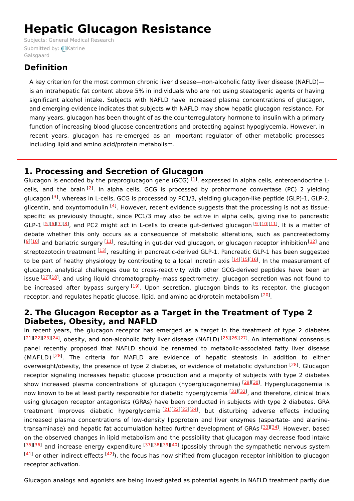# **Hepatic Glucagon Resistance**

Subjects: General Medical [Research](https://encyclopedia.pub/item/subject/70) [Submitted](https://sciprofiles.com/profile/1265750) by: Katrine Galsgaard

## **Definition**

A key criterion for the most common chronic liver disease—non-alcoholic fatty liver disease (NAFLD) is an intrahepatic fat content above 5% in individuals who are not using steatogenic agents or having significant alcohol intake. Subjects with NAFLD have increased plasma concentrations of glucagon, and emerging evidence indicates that subjects with NAFLD may show hepatic glucagon resistance. For many years, glucagon has been thought of as the counterregulatory hormone to insulin with a primary function of increasing blood glucose concentrations and protecting against hypoglycemia. However, in recent years, glucagon has re-emerged as an important regulator of other metabolic processes including lipid and amino acid/protein metabolism.

## **1. Processing and Secretion of Glucagon**

Glucagon is encoded by the preproglucagon gene (GCG)  $^{[1]}$  $^{[1]}$  $^{[1]}$ , expressed in alpha cells, enteroendocrine L-cells, and the brain <sup>[\[2](#page-3-1)]</sup>. In alpha cells, GCG is processed by prohormone convertase (PC) 2 yielding glucagon <sup>[<u>3</u>]</sup>, whereas in L-cells, GCG is processed by PC1/3, yielding glucagon-like peptide (GLP)-1, GLP-2, glicentin, and oxyntomodulin <sup>[<u>[4](#page-3-3)</u>]</sup>. However, recent evidence suggests that the processing is not as tissuespecific as previously thought, since PC1/3 may also be active in alpha cells, giving rise to pancreatic GLP-1 [[5](#page-3-4)][\[6](#page-3-5)][[7](#page-4-0)][\[8](#page-4-1)], and PC2 might act in L-cells to create gut-derived glucagon [\[9](#page-4-2)][[10](#page-4-3)][\[11\]](#page-4-4). It is a matter of debate whether this only occurs as a consequence of metabolic alterations, such as pancreatectomy  $^{[9][10]}$  $^{[9][10]}$  $^{[9][10]}$  $^{[9][10]}$  $^{[9][10]}$  and bariatric surgery  $^{[11]}$  $^{[11]}$  $^{[11]}$ , resulting in gut-derived glucagon, or glucagon receptor inhibition $^{[12]}$  $^{[12]}$  $^{[12]}$  and streptozotocin treatment <sup>[<u>13</u>]</sup>, resulting in pancreatic-derived GLP-1. Pancreatic GLP-1 has been suggested to be part of heathy physiology by contributing to a local incretin axis [[14](#page-4-7)][\[15](#page-4-8)][[16](#page-4-9)]. In the measurement of glucagon, analytical challenges due to cross-reactivity with other GCG-derived peptides have been an issue [\[17](#page-4-10)][\[18](#page-4-11)], and using liquid chromatography–mass spectrometry, glucagon secretion was not found to be increased after bypass surgery <sup>[[19\]](#page-4-12)</sup>. Upon secretion, glucagon binds to its receptor, the glucagon receptor, and regulates hepatic glucose, lipid, and amino acid/protein metabolism <sup>[[20](#page-4-13)]</sup>.

### **2. The Glucagon Receptor as a Target in the Treatment of Type 2 Diabetes, Obesity, and NAFLD**

In recent years, the glucagon receptor has emerged as a target in the treatment of type 2 diabetes [[21](#page-4-14)][\[22\]](#page-4-15)[[23](#page-4-16)][\[24\]](#page-4-17), obesity, and non-alcoholic fatty liver disease (NAFLD) [[25](#page-4-18)][\[26](#page-4-19)][[27](#page-4-20)]. An international consensus panel recently proposed that NAFLD should be renamed to metabolic-associated fatty liver disease (MAFLD)<sup>[\[28](#page-5-0)]</sup>. The criteria for MAFLD are evidence of hepatic steatosis in addition to either overweight/obesity, the presence of type 2 diabetes, or evidence of metabolic dysfunction <sup>[\[28](#page-5-0)]</sup>. Glucagon receptor signaling increases hepatic glucose production and a majority of subjects with type 2 diabetes show increased plasma concentrations of glucagon (hyperglucagonemia) [[29](#page-5-1)][\[30](#page-5-2)]. Hyperglucagonemia is now known to be at least partly responsible for diabetic hyperglycemia [\[31\]](#page-5-3)[[32](#page-5-4)], and therefore, clinical trials using glucagon receptor antagonists (GRAs) have been conducted in subjects with type 2 diabetes. GRA treatment improves diabetic hyperglycemia<sup>[\[21](#page-4-14)][\[22](#page-4-15)][\[23](#page-4-16)][\[24](#page-4-17)]</sup>, but disturbing adverse effects including increased plasma concentrations of low-density lipoprotein and liver enzymes (aspartate- and alanine-transaminase) and hepatic fat accumulation halted further development of GRAs [[33](#page-5-5)][[34](#page-5-6)]. However, based on the observed changes in lipid metabolism and the possibility that glucagon may decrease food intake [[35](#page-5-7)][\[36\]](#page-5-8) and increase energy expenditure [[37\]](#page-5-9)[[38\]](#page-5-10)[[39\]](#page-5-11)[[40\]](#page-5-12) (possibly through the sympathetic nervous system  $\frac{[41]}{2}$  $\frac{[41]}{2}$  $\frac{[41]}{2}$  or other indirect effects  $\frac{[42]}{2}$  $\frac{[42]}{2}$  $\frac{[42]}{2}$ ), the focus has now shifted from glucagon receptor inhibition to glucagon receptor activation.

Glucagon analogs and agonists are being investigated as potential agents in NAFLD treatment partly due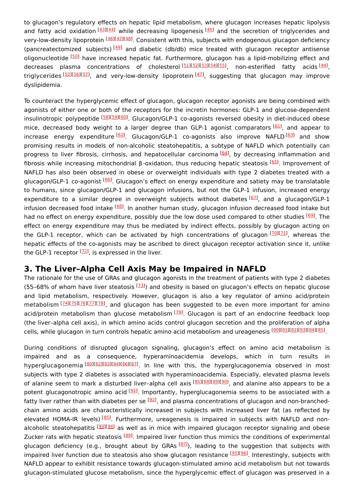to glucagon's regulatory effects on hepatic lipid metabolism, where glucagon increases hepatic lipolysis and fatty acid oxidation [\[43](#page-5-15)][[44](#page-5-16)] while decreasing lipogenesis [\[45](#page-5-17)] and the secretion of triglycerides and very-low-density lipoprotein <sup>[[46\]](#page-5-18)[[47\]](#page-5-19)[[48\]](#page-5-20)</sup>. Consistent with this, subjects with endogenous glucagon deficiency (pancreatectomized subjects)  $[49]$  $[49]$  $[49]$  and diabetic (db/db) mice treated with glucagon receptor antisense oligonucleotide <sup>[[50](#page-5-22)]</sup> have increased hepatic fat. Furthermore, glucagon has a lipid-mobilizing effect and decreases plasma concentrations of cholesterol<sup>[\[51](#page-5-23)][\[52](#page-5-24)][\[53](#page-5-25)][\[54](#page-6-0)][\[55](#page-6-1)]</sup>, non-esterified fatty acids<sup>[\[44](#page-5-16)]</sup>, triglycerides [[52\]](#page-5-24)[[56\]](#page-6-2)[[57\]](#page-6-3), and very-low-density lipoprotein <sup>[[47\]](#page-5-19)</sup>, suggesting that glucagon may improve dyslipidemia.

To counteract the hyperglycemic effect of glucagon, glucagon receptor agonists are being combined with agonists of either one or both of the receptors for the incretin hormones: GLP-1 and glucose-dependent insulinotropic polypeptide <sup>[<u>58][[59](#page-6-5)][\[60](#page-6-6)</u>]. Glucagon/GLP-1 co-agonists reversed obesity in diet-induced obese</sup> mice, decreased body weight to a larger degree than GLP-1 agonist comparators [\[61](#page-6-7)], and appear to increase energy expenditure<sup>[\[62](#page-6-8)]</sup>. Glucagon/GLP-1 co-agonists also improve NAFLD<sup>[\[63](#page-6-9)]</sup> and show promising results in models of non-alcoholic steatohepatitis, a subtype of NAFLD which potentially can progress to liver fibrosis, cirrhosis, and hepatocellular carcinoma <sup>[[64\]](#page-6-10)</sup>, by decreasing inflammation and fibrosis while increasing mitochondrial β-oxidation, thus reducing hepatic steatosis <sup>[\[65](#page-6-11)]</sup>. Improvement of NAFLD has also been observed in obese or overweight individuals with type 2 diabetes treated with a glucagon/GLP-1 co-agonist <sup>[[66](#page-6-12)]</sup>. Glucagon's effect on energy expenditure and satiety may be translatable to humans, since glucagon/GLP-1 and glucagon infusions, but not the GLP-1 infusion, increased energy expenditure to a similar degree in overweight subjects without diabetes [[67](#page-6-13)], and a glucagon/GLP-1 infusion decreased food intake <sup>[[68\]](#page-6-14)</sup>. In another human study, glucagon infusion decreased food intake but had no effect on energy expenditure, possibly due the low dose used compared to other studies [[69](#page-6-15)]. The effect on energy expenditure may thus be mediated by indirect effects, possibly by glucagon acting on the GLP-1 receptor, which can be activated by high concentrations of glucagon [\[70](#page-6-16)][\[71](#page-6-17)], whereas the hepatic effects of the co-agonists may be ascribed to direct glucagon receptor activation since it, unlike the GLP-1 receptor <sup>[\[72](#page-6-18)]</sup>, is expressed in the liver.

#### **3. The Liver–Alpha Cell Axis May be Impaired in NAFLD**

The rationale for the use of GRAs and glucagon agonists in the treatment of patients with type 2 diabetes (55-68% of whom have liver steatosis  $[<sup>73</sup>]$ ) and obesity is based on glucagon's effects on hepatic glucose and lipid metabolism, respectively. However, glucagon is also a key regulator of amino acid/protein metabolism [\[74](#page-6-20)][\[75](#page-6-21)][\[76](#page-6-22)][\[77](#page-6-23)][\[78](#page-7-0)], and glucagon has been suggested to be even more important for amino acid/protein metabolism than glucose metabolism <sup>[[79](#page-7-1)]</sup>. Glucagon is part of an endocrine feedback loop (the liver–alpha cell axis), in which amino acids control glucagon secretion and the proliferation of alpha cells, while glucagon in turn controls hepatic amino acid metabolism and ureagenesis [\[80](#page-7-2)][\[81](#page-7-3)][\[82](#page-7-4)][\[83](#page-7-5)][\[84](#page-7-6)][\[85](#page-7-7)].

During conditions of disrupted glucagon signaling, glucagon's effect on amino acid metabolism is impaired and as a consequence, hyperaminoacidemia develops, which in turn results in hyperglucagonemia [[80](#page-7-2)][\[82\]](#page-7-4)[[83](#page-7-5)][\[84\]](#page-7-6)[[86](#page-7-8)][\[87\]](#page-7-9). In line with this, the hyperglucagonemia observed in most subjects with type 2 diabetes is associated with hyperaminoacidemia. Especially, elevated plasma levels of alanine seem to mark a disturbed liver-alpha cell axis [\[85](#page-7-7)][\[88](#page-7-10)][\[89](#page-7-11)][\[90](#page-7-12)], and alanine also appears to be a potent glucagonotropic amino acid <sup>[<u>91</u>]</sup>. Importantly, hyperglucagonemia seems to be associated with a fatty liver rather than with diabetes per se <sup>[<u>92</u>]</sup>, and plasma concentrations of glucagon and non-branchedchain amino acids are characteristically increased in subjects with increased liver fat (as reflected by elevated HOMA-IR levels) [\[85](#page-7-7)]. Furthermore, ureagenesis is impaired in subjects with NAFLD and non-alcoholic steatohepatitis <sup>[<u>[93\]](#page-7-15)[94</u>] as well as in mice with impaired glucagon receptor signaling and obese</sup> Zucker rats with hepatic steatosis [[89\]](#page-7-11). Impaired liver function thus mimics the conditions of experimental glucagon deficiency (e.g., brought about by GRAs [\[87](#page-7-9)]), leading to the suggestion that subjects with impaired liver function due to steatosis also show glucagon resistance <sup>[<u>95][\[96](#page-7-18)</u>]. Interestingly, subjects with</sup> NAFLD appear to exhibit resistance towards glucagon-stimulated amino acid metabolism but not towards glucagon-stimulated glucose metabolism, since the hyperglycemic effect of glucagon was preserved in a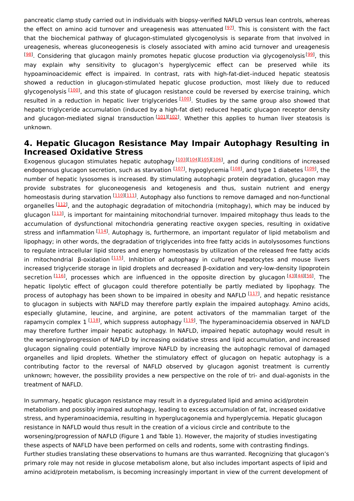pancreatic clamp study carried out in individuals with biopsy-verified NAFLD versus lean controls, whereas the effect on amino acid turnover and ureagenesis was attenuated <sup>[\[97](#page-7-19)]</sup>. This is consistent with the fact that the biochemical pathway of glucagon-stimulated glycogenolysis is separate from that involved in ureagenesis, whereas gluconeogenesis is closely associated with amino acid turnover and ureagenesis <sup>[<u>[98](#page-7-20)</u>]</sup>. Considering that glucagon mainly promotes hepatic glucose production via glycogenolysis<sup>[[99](#page-7-21)]</sup>, this may explain why sensitivity to glucagon's hyperglycemic effect can be preserved while its hypoaminoacidemic effect is impaired. In contrast, rats with high-fat-diet–induced hepatic steatosis showed a reduction in glucagon-stimulated hepatic glucose production, most likely due to reduced glycogenolysis <sup>[<u>[100](#page-7-22)</u>], and this state of glucagon resistance could be reversed by exercise training, which</sup> resulted in a reduction in hepatic liver triglycerides [\[100](#page-7-22)]. Studies by the same group also showed that hepatic triglyceride accumulation (induced by a high-fat diet) reduced hepatic glucagon receptor density and glucagon-mediated signal transduction [[101](#page-7-23)][\[102](#page-7-24)]. Whether this applies to human liver steatosis is unknown.

#### **4. Hepatic Glucagon Resistance May Impair Autophagy Resulting in Increased Oxidative Stress**

Exogenous glucagon stimulates hepatic autophagy [\[103](#page-8-0)][\[104](#page-8-1)][[105](#page-8-2)][[106](#page-8-3)], and during conditions of increased endogenous glucagon secretion, such as starvation <sup>[\[107](#page-8-4)]</sup>, hypoglycemia <sup>[\[108](#page-8-5)]</sup>, and type 1 diabetes <sup>[\[109](#page-8-6)]</sup>, the number of hepatic lysosomes is increased. By stimulating autophagic protein degradation, glucagon may provide substrates for gluconeogenesis and ketogenesis and thus, sustain nutrient and energy homeostasis during starvation [[110](#page-8-7)][\[111](#page-8-8)]. Autophagy also functions to remove damaged and non-functional organelles [[112](#page-8-9)], and the autophagic degradation of mitochondria (mitophagy), which may be induced by glucagon [\[113](#page-8-10)], is important for maintaining mitochondrial turnover. Impaired mitophagy thus leads to the accumulation of dysfunctional mitochondria generating reactive oxygen species, resulting in oxidative stress and inflammation [\[114](#page-8-11)]. Autophagy is, furthermore, an important regulator of lipid metabolism and lipophagy; in other words, the degradation of triglycerides into free fatty acids in autolysosomes functions to regulate intracellular lipid stores and energy homeostasis by utilization of the released free fatty acids in mitochondrial β-oxidation<sup>[\[115](#page-8-12)]</sup>. Inhibition of autophagy in cultured hepatocytes and mouse livers increased triglyceride storage in lipid droplets and decreased β-oxidation and very-low-density lipoprotein secretion [\[116](#page-8-13)], processes which are influenced in the opposite direction by glucagon [\[43](#page-5-15)][\[44](#page-5-16)][\[56](#page-6-2)]. The hepatic lipolytic effect of glucagon could therefore potentially be partly mediated by lipophagy. The process of autophagy has been shown to be impaired in obesity and NAFLD <sup>[\[117](#page-8-14)]</sup>, and hepatic resistance to glucagon in subjects with NAFLD may therefore partly explain the impaired autophagy. Amino acids, especially glutamine, leucine, and arginine, are potent activators of the mammalian target of the rapamycin complex 1 <sup>[<u>[118](#page-8-15)</u>]</sup>, which suppress autophagy <sup>[\[119](#page-8-16)]</sup>. The hyperaminoacidemia observed in NAFLD may therefore further impair hepatic autophagy. In NAFLD, impaired hepatic autophagy would result in the worsening/progression of NAFLD by increasing oxidative stress and lipid accumulation, and increased glucagon signaling could potentially improve NAFLD by increasing the autophagic removal of damaged organelles and lipid droplets. Whether the stimulatory effect of glucagon on hepatic autophagy is a contributing factor to the reversal of NAFLD observed by glucagon agonist treatment is currently unknown; however, the possibility provides a new perspective on the role of tri- and dual-agonists in the treatment of NAFLD.

In summary, hepatic glucagon resistance may result in a dysregulated lipid and amino acid/protein metabolism and possibly impaired autophagy, leading to excess accumulation of fat, increased oxidative stress, and hyperaminoacidemia, resulting in hyperglucagonemia and hyperglycemia. Hepatic glucagon resistance in NAFLD would thus result in the creation of a vicious circle and contribute to the worsening/progression of NAFLD (Figure 1 and Table 1). However, the majority of studies investigating these aspects of NAFLD have been performed on cells and rodents, some with contrasting findings. Further studies translating these observations to humans are thus warranted. Recognizing that glucagon's primary role may not reside in glucose metabolism alone, but also includes important aspects of lipid and amino acid/protein metabolism, is becoming increasingly important in view of the current development of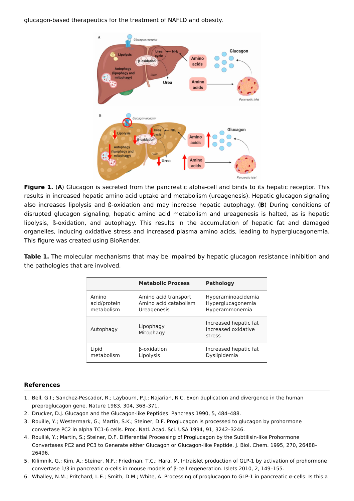glucagon-based therapeutics for the treatment of NAFLD and obesity.



**Figure 1.** (**A**) Glucagon is secreted from the pancreatic alpha-cell and binds to its hepatic receptor. This results in increased hepatic amino acid uptake and metabolism (ureagenesis). Hepatic glucagon signaling also increases lipolysis and ß-oxidation and may increase hepatic autophagy. (**B**) During conditions of disrupted glucagon signaling, hepatic amino acid metabolism and ureagenesis is halted, as is hepatic lipolysis, ß-oxidation, and autophagy. This results in the accumulation of hepatic fat and damaged organelles, inducing oxidative stress and increased plasma amino acids, leading to hyperglucagonemia. This figure was created using BioRender.

**Table 1.** The molecular mechanisms that may be impaired by hepatic glucagon resistance inhibition and the pathologies that are involved.

|              | <b>Metabolic Process</b> | <b>Pathology</b>                                       |
|--------------|--------------------------|--------------------------------------------------------|
| Amino        | Amino acid transport     | Hyperaminoacidemia                                     |
| acid/protein | Amino acid catabolism    | Hyperglucagonemia                                      |
| metabolism   | Ureagenesis              | Hyperammonemia                                         |
| Autophagy    | Lipophagy<br>Mitophagy   | Increased hepatic fat<br>Increased oxidative<br>stress |
| Lipid        | β-oxidation              | Increased hepatic fat                                  |
| metabolism   | Lipolysis                | Dyslipidemia                                           |

#### **References**

- <span id="page-3-0"></span>1. Bell, G.I.; Sanchez-Pescador, R.; Laybourn, P.J.; Najarian, R.C. Exon duplication and divergence in the human preproglucagon gene. Nature 1983, 304, 368–371.
- <span id="page-3-1"></span>2. Drucker, D.J. Glucagon and the Glucagon-like Peptides. Pancreas 1990, 5, 484–488.
- <span id="page-3-2"></span>3. Rouille, Y.; Westermark, G.; Martin, S.K.; Steiner, D.F. Proglucagon is processed to glucagon by prohormone convertase PC2 in alpha TC1-6 cells. Proc. Natl. Acad. Sci. USA 1994, 91, 3242–3246.
- <span id="page-3-3"></span>4. Rouillé, Y.; Martin, S.; Steiner, D.F. Differential Processing of Proglucagon by the Subtilisin-like Prohormone Convertases PC2 and PC3 to Generate either Glucagon or Glucagon-like Peptide. J. Biol. Chem. 1995, 270, 26488– 26496.
- <span id="page-3-4"></span>5. Kilimnik, G.; Kim, A.; Steiner, N.F.; Friedman, T.C.; Hara, M. Intraislet production of GLP-1 by activation of prohormone convertase 1/3 in pancreatic α-cells in mouse models of β-cell regeneration. Islets 2010, 2, 149–155.
- <span id="page-3-5"></span>6. Whalley, N.M.; Pritchard, L.E.; Smith, D.M.; White, A. Processing of proglucagon to GLP-1 in pancreatic α-cells: Is this a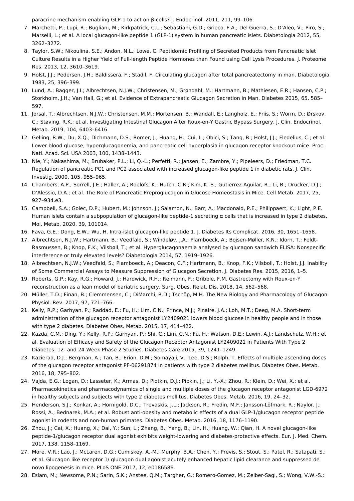paracrine mechanism enabling GLP-1 to act on β-cells? J. Endocrinol. 2011, 211, 99–106.

- <span id="page-4-0"></span>7. Marchetti, P.; Lupi, R.; Bugliani, M.; Kirkpatrick, C.L.; Sebastiani, G.D.; Grieco, F.A.; Del Guerra, S.; D'Aleo, V.; Piro, S.; Marselli, L.; et al. A local glucagon-like peptide 1 (GLP-1) system in human pancreatic islets. Diabetologia 2012, 55, 3262–3272.
- <span id="page-4-1"></span>8. Taylor, S.W.; Nikoulina, S.E.; Andon, N.L.; Lowe, C. Peptidomic Profiling of Secreted Products from Pancreatic Islet Culture Results in a Higher Yield of Full-length Peptide Hormones than Found using Cell Lysis Procedures. J. Proteome Res. 2013, 12, 3610–3619.
- <span id="page-4-2"></span>9. Holst, J.J.; Pedersen, J.H.; Baldissera, F.; Stadil, F. Circulating glucagon after total pancreatectomy in man. Diabetologia 1983, 25, 396–399.
- <span id="page-4-3"></span>10. Lund, A.; Bagger, J.I.; Albrechtsen, N.J.W.; Christensen, M.; Grøndahl, M.; Hartmann, B.; Mathiesen, E.R.; Hansen, C.P.; Storkholm, J.H.; Van Hall, G.; et al. Evidence of Extrapancreatic Glucagon Secretion in Man. Diabetes 2015, 65, 585– 597.
- <span id="page-4-4"></span>11. Jorsal, T.; Albrechtsen, N.J.W.; Christensen, M.M.; Mortensen, B.; Wandall, E.; Langholz, E.; Friis, S.; Worm, D.; Ørskov, C.; Støving, R.K.; et al. Investigating Intestinal Glucagon After Roux-en-Y Gastric Bypass Surgery. J. Clin. Endocrinol. Metab. 2019, 104, 6403–6416.
- <span id="page-4-5"></span>12. Gelling, R.W.; Du, X.Q.; Dichmann, D.S.; Romer, J.; Huang, H.; Cui, L.; Obici, S.; Tang, B.; Holst, J.J.; Fledelius, C.; et al. Lower blood glucose, hyperglucagonemia, and pancreatic cell hyperplasia in glucagon receptor knockout mice. Proc. Natl. Acad. Sci. USA 2003, 100, 1438–1443.
- <span id="page-4-6"></span>13. Nie, Y.; Nakashima, M.; Brubaker, P.L.; Li, Q.-L.; Perfetti, R.; Jansen, E.; Zambre, Y.; Pipeleers, D.; Friedman, T.C. Regulation of pancreatic PC1 and PC2 associated with increased glucagon-like peptide 1 in diabetic rats. J. Clin. Investig. 2000, 105, 955–965.
- <span id="page-4-7"></span>14. Chambers, A.P.; Sorrell, J.E.; Haller, A.; Roelofs, K.; Hutch, C.R.; Kim, K.-S.; Gutierrez-Aguilar, R.; Li, B.; Drucker, D.J.; D'Alessio, D.A.; et al. The Role of Pancreatic Preproglucagon in Glucose Homeostasis in Mice. Cell Metab. 2017, 25, 927–934.e3.
- <span id="page-4-8"></span>15. Campbell, S.A.; Golec, D.P.; Hubert, M.; Johnson, J.; Salamon, N.; Barr, A.; Macdonald, P.E.; Philippaert, K.; Light, P.E. Human islets contain a subpopulation of glucagon-like peptide-1 secreting  $\alpha$  cells that is increased in type 2 diabetes. Mol. Metab. 2020, 39, 101014.
- <span id="page-4-9"></span>16. Fava, G.E.; Dong, E.W.; Wu, H. Intra-islet glucagon-like peptide 1. J. Diabetes Its Complicat. 2016, 30, 1651–1658.
- <span id="page-4-10"></span>17. Albrechtsen, N.J.W.; Hartmann, B.; Veedfald, S.; Windeløv, J.A.; Plamboeck, A.; Bojsen-Møller, K.N.; Idorn, T.; Feldt-Rasmussen, B.; Knop, F.K.; Vilsbøll, T.; et al. Hyperglucagonaemia analysed by glucagon sandwich ELISA: Nonspecific interference or truly elevated levels? Diabetologia 2014, 57, 1919–1926.
- <span id="page-4-11"></span>18. Albrechtsen, N.J.W.; Veedfald, S.; Plamboeck, A.; Deacon, C.F.; Hartmann, B.; Knop, F.K.; Vilsboll, T.; Holst, J.J. Inability of Some Commercial Assays to Measure Suppression of Glucagon Secretion. J. Diabetes Res. 2015, 2016, 1–5.
- <span id="page-4-12"></span>19. Roberts, G.P.; Kay, R.G.; Howard, J.; Hardwick, R.H.; Reimann, F.; Gribble, F.M. Gastrectomy with Roux-en-Y reconstruction as a lean model of bariatric surgery. Surg. Obes. Relat. Dis. 2018, 14, 562–568.
- <span id="page-4-13"></span>20. Müller, T.D.; Finan, B.; Clemmensen, C.; DiMarchi, R.D.; Tschöp, M.H. The New Biology and Pharmacology of Glucagon. Physiol. Rev. 2017, 97, 721–766.
- <span id="page-4-14"></span>21. Kelly, R.P.; Garhyan, P.; Raddad, E.; Fu, H.; Lim, C.N.; Prince, M.J.; Pinaire, J.A.; Loh, M.T.; Deeg, M.A. Short-term administration of the glucagon receptor antagonist LY2409021 lowers blood glucose in healthy people and in those with type 2 diabetes. Diabetes Obes. Metab. 2015, 17, 414–422.
- <span id="page-4-15"></span>22. Kazda, C.M.; Ding, Y.; Kelly, R.P.; Garhyan, P.; Shi, C.; Lim, C.N.; Fu, H.; Watson, D.E.; Lewin, A.J.; Landschulz, W.H.; et al. Evaluation of Efficacy and Safety of the Glucagon Receptor Antagonist LY2409021 in Patients With Type 2 Diabetes: 12- and 24-Week Phase 2 Studies. Diabetes Care 2015, 39, 1241–1249.
- <span id="page-4-16"></span>23. Kazierad, D.J.; Bergman, A.; Tan, B.; Erion, D.M.; Somayaji, V.; Lee, D.S.; Rolph, T. Effects of multiple ascending doses of the glucagon receptor antagonist PF-06291874 in patients with type 2 diabetes mellitus. Diabetes Obes. Metab. 2016, 18, 795–802.
- <span id="page-4-17"></span>24. Vajda, E.G.; Logan, D.; Lasseter, K.; Armas, D.; Plotkin, D.J.; Pipkin, J.; Li, Y.-X.; Zhou, R.; Klein, D.; Wei, X.; et al. Pharmacokinetics and pharmacodynamics of single and multiple doses of the glucagon receptor antagonist LGD-6972 in healthy subjects and subjects with type 2 diabetes mellitus. Diabetes Obes. Metab. 2016, 19, 24–32.
- <span id="page-4-18"></span>25. Henderson, S.J.; Konkar, A.; Hornigold, D.C.; Trevaskis, J.L.; Jackson, R.; Fredin, M.F.; Jansson-Löfmark, R.; Naylor, J.; Rossi, A.; Bednarek, M.A.; et al. Robust anti-obesity and metabolic effects of a dual GLP-1/glucagon receptor peptide agonist in rodents and non-human primates. Diabetes Obes. Metab. 2016, 18, 1176–1190.
- <span id="page-4-19"></span>26. Zhou, J.; Cai, X.; Huang, X.; Dai, Y.; Sun, L.; Zhang, B.; Yang, B.; Lin, H.; Huang, W.; Qian, H. A novel glucagon-like peptide-1/glucagon receptor dual agonist exhibits weight-lowering and diabetes-protective effects. Eur. J. Med. Chem. 2017, 138, 1158–1169.
- <span id="page-4-20"></span>27. More, V.R.; Lao, J.; McLaren, D.G.; Cumiskey, A.-M.; Murphy, B.A.; Chen, Y.; Previs, S.; Stout, S.; Patel, R.; Satapati, S.; et al. Glucagon like receptor 1/ glucagon dual agonist acutely enhanced hepatic lipid clearance and suppressed de novo lipogenesis in mice. PLoS ONE 2017, 12, e0186586.
- 28. Eslam, M.; Newsome, P.N.; Sarin, S.K.; Anstee, Q.M.; Targher, G.; Romero-Gomez, M.; Zelber-Sagi, S.; Wong, V.W.-S.;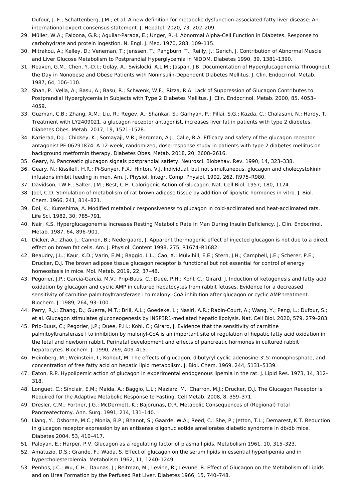<span id="page-5-0"></span>Dufour, J.-F.; Schattenberg, J.M.; et al. A new definition for metabolic dysfunction-associated fatty liver disease: An international expert consensus statement. J. Hepatol. 2020, 73, 202–209.

- <span id="page-5-1"></span>29. Müller, W.A.; Faloona, G.R.; Aguilar-Parada, E.; Unger, R.H. Abnormal Alpha-Cell Function in Diabetes. Response to carbohydrate and protein ingestion. N. Engl. J. Med. 1970, 283, 109–115.
- <span id="page-5-2"></span>30. Mitrakou, A.; Kelley, D.; Veneman, T.; Jenssen, T.; Pangburn, T.; Reilly, J.; Gerich, J. Contribution of Abnormal Muscle and Liver Glucose Metabolism to Postprandial Hyperglycemia in NIDDM. Diabetes 1990, 39, 1381–1390.
- <span id="page-5-3"></span>31. Reaven, G.M.; Chen, Y.-D.I.; Golay, A.; Swislocki, A.L.M.; Jaspan, J.B. Documentation of Hyperglucagonemia Throughout the Day in Nonobese and Obese Patients with Noninsulin-Dependent Diabetes Mellitus. J. Clin. Endocrinol. Metab. 1987, 64, 106–110.
- <span id="page-5-4"></span>32. Shah, P.; Vella, A.; Basu, A.; Basu, R.; Schwenk, W.F.; Rizza, R.A. Lack of Suppression of Glucagon Contributes to Postprandial Hyperglycemia in Subjects with Type 2 Diabetes Mellitus. J. Clin. Endocrinol. Metab. 2000, 85, 4053– 4059.
- <span id="page-5-5"></span>33. Guzman, C.B.; Zhang, X.M.; Liu, R.; Regev, A.; Shankar, S.; Garhyan, P.; Pillai, S.G.; Kazda, C.; Chalasani, N.; Hardy, T. Treatment with LY2409021, a glucagon receptor antagonist, increases liver fat in patients with type 2 diabetes. Diabetes Obes. Metab. 2017, 19, 1521–1528.
- <span id="page-5-6"></span>34. Kazierad, D.J.; Chidsey, K.; Somayaji, V.R.; Bergman, A.J.; Calle, R.A. Efficacy and safety of the glucagon receptor antagonist PF-06291874: A 12-week, randomized, dose-response study in patients with type 2 diabetes mellitus on background metformin therapy. Diabetes Obes. Metab. 2018, 20, 2608–2616.
- <span id="page-5-7"></span>35. Geary, N. Pancreatic glucagon signals postprandial satiety. Neurosci. Biobehav. Rev. 1990, 14, 323–338.
- <span id="page-5-8"></span>36. Geary, N.; Kissileff, H.R.; Pi-Sunyer, F.X.; Hinton, V.J. Individual, but not simultaneous, glucagon and cholecystokinin infusions inhibit feeding in men. Am. J. Physiol. Integr. Comp. Physiol. 1992, 262, R975–R980.
- <span id="page-5-9"></span>37. Davidson, I.W.F.; Salter, J.M.; Best, C.H. Calorigenic Action of Glucagon. Nat. Cell Biol. 1957, 180, 1124.
- <span id="page-5-10"></span>38. Joel, C.D. Stimulation of metabolism of rat brown adipose tissue by addition of lipolytic hormones in vitro. J. Biol. Chem. 1966, 241, 814–821.
- <span id="page-5-11"></span>39. Doi, K.; Kuroshima, A. Modified metabolic responsiveness to glucagon in cold-acclimated and heat-acclimated rats. Life Sci. 1982, 30, 785–791.
- <span id="page-5-12"></span>40. Nair, K.S. Hyperglucagonemia Increases Resting Metabolic Rate In Man During Insulin Deficiency. J. Clin. Endocrinol. Metab. 1987, 64, 896–901.
- <span id="page-5-13"></span>41. Dicker, A.; Zhao, J.; Cannon, B.; Nedergaard, J. Apparent thermogenic effect of injected glucagon is not due to a direct effect on brown fat cells. Am. J. Physiol. Content 1998, 275, R1674–R1682.
- <span id="page-5-14"></span>42. Beaudry, J.L.; Kaur, K.D.; Varin, E.M.; Baggio, L.L.; Cao, X.; Mulvihill, E.E.; Stern, J.H.; Campbell, J.E.; Scherer, P.E.; Drucker, D.J. The brown adipose tissue glucagon receptor is functional but not essential for control of energy homeostasis in mice. Mol. Metab. 2019, 22, 37–48.
- <span id="page-5-15"></span>43. Pegorier, J.P.; Garcia-Garcia, M.V.; Prip-Buus, C.; Duee, P.H.; Kohl, C.; Girard, J. Induction of ketogenesis and fatty acid oxidation by glucagon and cyclic AMP in cultured hepatocytes from rabbit fetuses. Evidence for a decreased sensitivity of carnitine palmitoyltransferase I to malonyl-CoA inhibition after glucagon or cyclic AMP treatment. Biochem. J. 1989, 264, 93–100.
- <span id="page-5-16"></span>44. Perry, R.J.; Zhang, D.; Guerra, M.T.; Brill, A.L.; Goedeke, L.; Nasiri, A.R.; Rabin-Court, A.; Wang, Y.; Peng, L.; Dufour, S.; et al. Glucagon stimulates gluconeogenesis by INSP3R1-mediated hepatic lipolysis. Nat. Cell Biol. 2020, 579, 279–283.
- <span id="page-5-17"></span>45. Prip-Buus, C.; Pegorier, J.P.; Duee, P.H.; Kohl, C.; Girard, J. Evidence that the sensitivity of carnitine palmitoyltransferase I to inhibition by malonyl-CoA is an important site of regulation of hepatic fatty acid oxidation in the fetal and newborn rabbit. Perinatal development and effects of pancreatic hormones in cultured rabbit hepatocytes. Biochem. J. 1990, 269, 409–415.
- <span id="page-5-18"></span>46. Heimberg, M.; Weinstein, I.; Kohout, M. The effects of glucagon, dibutyryl cyclic adenosine 3′,5′-monophosphate, and concentration of free fatty acid on hepatic lipid metabolism. J. Biol. Chem. 1969, 244, 5131–5139.
- <span id="page-5-19"></span>47. Eaton, R.P. Hypolipemic action of glucagon in experimental endogenous lipemia in the rat. J. Lipid Res. 1973, 14, 312– 318.
- <span id="page-5-20"></span>48. Longuet, C.; Sinclair, E.M.; Maida, A.; Baggio, L.L.; Maziarz, M.; Charron, M.J.; Drucker, D.J. The Glucagon Receptor Is Required for the Adaptive Metabolic Response to Fasting. Cell Metab. 2008, 8, 359–371.
- <span id="page-5-21"></span>49. Dresler, C.M.; Fortner, J.G.; McDermott, K.; Bajorunas, D.R. Metabolic Consequences of (Regional) Total Pancreatectomy. Ann. Surg. 1991, 214, 131–140.
- <span id="page-5-22"></span>50. Liang, Y.; Osborne, M.C.; Monia, B.P.; Bhanot, S.; Gaarde, W.A.; Reed, C.; She, P.; Jetton, T.L.; Demarest, K.T. Reduction in glucagon receptor expression by an antisense oligonucleotide ameliorates diabetic syndrome in db/db mice. Diabetes 2004, 53, 410–417.
- <span id="page-5-23"></span>51. Paloyan, E.; Harper, P.V. Glucagon as a regulating factor of plasma lipids. Metabolism 1961, 10, 315–323.
- <span id="page-5-24"></span>52. Amatuzio, D.S.; Grande, F.; Wada, S. Effect of glucagon on the serum lipids in essential hyperlipemia and in hypercholesterolemia. Metabolism 1962, 11, 1240–1249.
- <span id="page-5-25"></span>53. Penhos, J.C.; Wu, C.H.; Daunas, J.; Reitman, M.; Levine, R.; Levune, R. Effect of Glucagon on the Metabolism of Lipids and on Urea Formation by the Perfused Rat Liver. Diabetes 1966, 15, 740–748.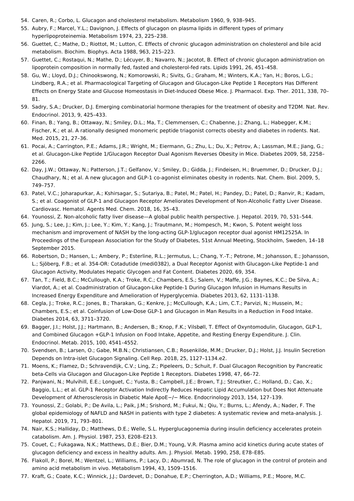- <span id="page-6-0"></span>54. Caren, R.; Corbo, L. Glucagon and cholesterol metabolism. Metabolism 1960, 9, 938–945.
- <span id="page-6-1"></span>55. Aubry, F.; Marcel, Y.L.; Davignon, J. Effects of glucagon on plasma lipids in different types of primary hyperlipoproteinemia. Metabolism 1974, 23, 225–238.
- <span id="page-6-2"></span>56. Guettet, C.; Mathe, D.; Riottot, M.; Lutton, C. Effects of chronic glucagon administration on cholesterol and bile acid metabolism. Biochim. Biophys. Acta 1988, 963, 215–223.
- <span id="page-6-3"></span>57. Guettet, C.; Rostaqui, N.; Mathe, D.; Lécuyer, B.; Navarro, N.; Jacotot, B. Effect of chronic glucagon administration on lipoprotein composition in normally fed, fasted and cholesterol-fed rats. Lipids 1991, 26, 451–458.
- <span id="page-6-4"></span>58. Gu, W.; Lloyd, D.J.; Chinookswong, N.; Komorowski, R.; Sivits, G.; Graham, M.; Winters, K.A.; Yan, H.; Boros, L.G.; Lindberg, R.A.; et al. Pharmacological Targeting of Glucagon and Glucagon-Like Peptide 1 Receptors Has Different Effects on Energy State and Glucose Homeostasis in Diet-Induced Obese Mice. J. Pharmacol. Exp. Ther. 2011, 338, 70– 81.
- <span id="page-6-5"></span>59. Sadry, S.A.; Drucker, D.J. Emerging combinatorial hormone therapies for the treatment of obesity and T2DM. Nat. Rev. Endocrinol. 2013, 9, 425–433.
- <span id="page-6-6"></span>60. Finan, B.; Yang, B.; Ottaway, N.; Smiley, D.L.; Ma, T.; Clemmensen, C.; Chabenne, J.; Zhang, L.; Habegger, K.M.; Fischer, K.; et al. A rationally designed monomeric peptide triagonist corrects obesity and diabetes in rodents. Nat. Med. 2015, 21, 27–36.
- <span id="page-6-7"></span>61. Pocai, A.; Carrington, P.E.; Adams, J.R.; Wright, M.; Eiermann, G.; Zhu, L.; Du, X.; Petrov, A.; Lassman, M.E.; Jiang, G.; et al. Glucagon-Like Peptide 1/Glucagon Receptor Dual Agonism Reverses Obesity in Mice. Diabetes 2009, 58, 2258– 2266.
- <span id="page-6-8"></span>62. Day, J.W.; Ottaway, N.; Patterson, J.T.; Gelfanov, V.; Smiley, D.; Gidda, J.; Findeisen, H.; Bruemmer, D.; Drucker, D.J.; Chaudhary, N.; et al. A new glucagon and GLP-1 co-agonist eliminates obesity in rodents. Nat. Chem. Biol. 2009, 5, 749–757.
- <span id="page-6-9"></span>63. Patel, V.C.; Joharapurkar, A.; Kshirsagar, S.; Sutariya, B.; Patel, M.; Patel, H.; Pandey, D.; Patel, D.; Ranvir, R.; Kadam, S.; et al. Coagonist of GLP-1 and Glucagon Receptor Ameliorates Development of Non-Alcoholic Fatty Liver Disease. Cardiovasc. Hematol. Agents Med. Chem. 2018, 16, 35–43.
- <span id="page-6-10"></span>64. Younossi, Z. Non-alcoholic fatty liver disease—A global public health perspective. J. Hepatol. 2019, 70, 531–544.
- <span id="page-6-11"></span>65. Jung, S.; Lee, J.; Kim, J.; Lee, Y.; Kim, Y.; Kang, J.; Trautmann, M.; Hompesch, M.; Kwon, S. Potent weight loss mechanism and improvement of NASH by the long-acting GLP-1/glucagon receptor dual agonist HM12525A. In Proceedings of the European Association for the Study of Diabetes, 51st Annual Meeting, Stockholm, Sweden, 14–18 September 2015.
- <span id="page-6-12"></span>66. Robertson, D.; Hansen, L.; Ambery, P.; Esterline, R.L.; Jermutus, L.; Chang, Y.-T.; Petrone, M.; Johansson, E.; Johansson, L.; Sjöberg, F.B.; et al. 354-OR: Cotadutide (medi0382), a Dual Receptor Agonist with Glucagon-Like Peptide-1 and Glucagon Activity, Modulates Hepatic Glycogen and Fat Content. Diabetes 2020, 69, 354.
- <span id="page-6-13"></span>67. Tan, T.; Field, B.C.; McCullough, K.A.; Troke, R.C.; Chambers, E.S.; Salem, V.; Maffe, J.G.; Baynes, K.C.; De Silva, A.; Viardot, A.; et al. Coadministration of Glucagon-Like Peptide-1 During Glucagon Infusion in Humans Results in Increased Energy Expenditure and Amelioration of Hyperglycemia. Diabetes 2013, 62, 1131–1138.
- <span id="page-6-14"></span>68. Cegla, J.; Troke, R.C.; Jones, B.; Tharakan, G.; Kenkre, J.; McCullough, K.A.; Lim, C.T.; Parvizi, N.; Hussein, M.; Chambers, E.S.; et al. Coinfusion of Low-Dose GLP-1 and Glucagon in Man Results in a Reduction in Food Intake. Diabetes 2014, 63, 3711–3720.
- <span id="page-6-15"></span>69. Bagger, J.I.; Holst, J.J.; Hartmann, B.; Andersen, B.; Knop, F.K.; Vilsbøll, T. Effect of Oxyntomodulin, Glucagon, GLP-1, and Combined Glucagon +GLP-1 Infusion on Food Intake, Appetite, and Resting Energy Expenditure. J. Clin. Endocrinol. Metab. 2015, 100, 4541–4552.
- <span id="page-6-16"></span>70. Svendsen, B.; Larsen, O.; Gabe, M.B.N.; Christiansen, C.B.; Rosenkilde, M.M.; Drucker, D.J.; Holst, J.J. Insulin Secretion Depends on Intra-islet Glucagon Signaling. Cell Rep. 2018, 25, 1127–1134.e2.
- <span id="page-6-17"></span>71. Moens, K.; Flamez, D.; Schravendijk, C.V.; Ling, Z.; Pipeleers, D.; Schuit, F. Dual Glucagon Recognition by Pancreatic beta-Cells via Glucagon and Glucagon-Like Peptide 1 Receptors. Diabetes 1998, 47, 66–72.
- <span id="page-6-18"></span>72. Panjwani, N.; Mulvihill, E.E.; Longuet, C.; Yusta, B.; Campbell, J.E.; Brown, T.J.; Streutker, C.; Holland, D.; Cao, X.; Baggio, L.L.; et al. GLP-1 Receptor Activation Indirectly Reduces Hepatic Lipid Accumulation but Does Not Attenuate Development of Atherosclerosis in Diabetic Male ApoE−/− Mice. Endocrinology 2013, 154, 127–139.
- <span id="page-6-19"></span>73. Younossi, Z.; Golabi, P.; De Avila, L.; Paik, J.M.; Srishord, M.; Fukui, N.; Qiu, Y.; Burns, L.; Afendy, A.; Nader, F. The global epidemiology of NAFLD and NASH in patients with type 2 diabetes: A systematic review and meta-analysis. J. Hepatol. 2019, 71, 793–801.
- <span id="page-6-20"></span>74. Nair, K.S.; Halliday, D.; Matthews, D.E.; Welle, S.L. Hyperglucagonemia during insulin deficiency accelerates protein catabolism. Am. J. Physiol. 1987, 253, E208–E213.
- <span id="page-6-21"></span>75. Couet, C.; Fukagawa, N.K.; Matthews, D.E.; Bier, D.M.; Young, V.R. Plasma amino acid kinetics during acute states of glucagon deficiency and excess in healthy adults. Am. J. Physiol. Metab. 1990, 258, E78–E85.
- <span id="page-6-22"></span>76. Flakoll, P.; Borel, M.; Wentzel, L.; Williams, P.; Lacy, D.; Abumrad, N. The role of glucagon in the control of protein and amino acid metabolism in vivo. Metabolism 1994, 43, 1509–1516.
- <span id="page-6-23"></span>77. Kraft, G.; Coate, K.C.; Winnick, J.J.; Dardevet, D.; Donahue, E.P.; Cherrington, A.D.; Williams, P.E.; Moore, M.C.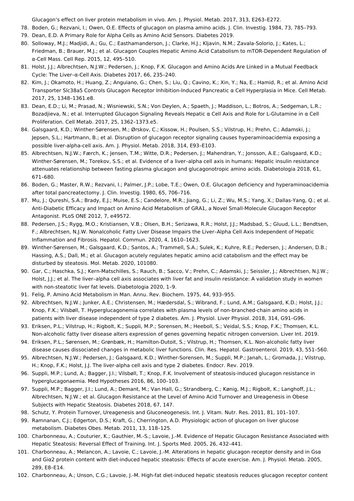<span id="page-7-0"></span>Glucagon's effect on liver protein metabolism in vivo. Am. J. Physiol. Metab. 2017, 313, E263–E272.

- 78. Boden, G.; Rezvani, I.; Owen, O.E. Effects of glucagon on plasma amino acids. J. Clin. Investig. 1984, 73, 785–793.
- <span id="page-7-1"></span>79. Dean, E.D. A Primary Role for Alpha Cells as Amino Acid Sensors. Diabetes 2019.
- <span id="page-7-2"></span>80. Solloway, M.J.; Madjidi, A.; Gu, C.; Easthamanderson, J.; Clarke, H.J.; Kljavin, N.M.; Zavala-Solorio, J.; Kates, L.; Friedman, B.; Brauer, M.J.; et al. Glucagon Couples Hepatic Amino Acid Catabolism to mTOR-Dependent Regulation of α-Cell Mass. Cell Rep. 2015, 12, 495–510.
- <span id="page-7-3"></span>81. Holst, J.J.; Albrechtsen, N.J.W.; Pedersen, J.; Knop, F.K. Glucagon and Amino Acids Are Linked in a Mutual Feedback Cycle: The Liver–α-Cell Axis. Diabetes 2017, 66, 235–240.
- <span id="page-7-4"></span>82. Kim, J.; Okamoto, H.; Huang, Z.; Anguiano, G.; Chen, S.; Liu, Q.; Cavino, K.; Xin, Y.; Na, E.; Hamid, R.; et al. Amino Acid Transporter Slc38a5 Controls Glucagon Receptor Inhibition-Induced Pancreatic α Cell Hyperplasia in Mice. Cell Metab. 2017, 25, 1348–1361.e8.
- <span id="page-7-5"></span>83. Dean, E.D.; Li, M.; Prasad, N.; Wisniewski, S.N.; Von Deylen, A.; Spaeth, J.; Maddison, L.; Botros, A.; Sedgeman, L.R.; Bozadjieva, N.; et al. Interrupted Glucagon Signaling Reveals Hepatic α Cell Axis and Role for L-Glutamine in α Cell Proliferation. Cell Metab. 2017, 25, 1362–1373.e5.
- <span id="page-7-6"></span>84. Galsgaard, K.D.; Winther-Sørensen, M.; Ørskov, C.; Kissow, H.; Poulsen, S.S.; Vilstrup, H.; Prehn, C.; Adamski, J.; Jepsen, S.L.; Hartmann, B.; et al. Disruption of glucagon receptor signaling causes hyperaminoacidemia exposing a possible liver-alpha-cell axis. Am. J. Physiol. Metab. 2018, 314, E93–E103.
- <span id="page-7-7"></span>85. Albrechtsen, N.J.W.; Færch, K.; Jensen, T.M.; Witte, D.R.; Pedersen, J.; Mahendran, Y.; Jonsson, A.E.; Galsgaard, K.D.; Winther-Sørensen, M.; Torekov, S.S.; et al. Evidence of a liver–alpha cell axis in humans: Hepatic insulin resistance attenuates relationship between fasting plasma glucagon and glucagonotropic amino acids. Diabetologia 2018, 61, 671–680.
- <span id="page-7-8"></span>86. Boden, G.; Master, R.W.; Rezvani, I.; Palmer, J.P.; Lobe, T.E.; Owen, O.E. Glucagon deficiency and hyperaminoacidemia after total pancreatectomy. J. Clin. Investig. 1980, 65, 706–716.
- <span id="page-7-9"></span>87. Mu, J.; Qureshi, S.A.; Brady, E.J.; Muise, E.S.; Candelore, M.R.; Jiang, G.; Li, Z.; Wu, M.S.; Yang, X.; Dallas-Yang, Q.; et al. Anti-Diabetic Efficacy and Impact on Amino Acid Metabolism of GRA1, a Novel Small-Molecule Glucagon Receptor Antagonist. PLoS ONE 2012, 7, e49572.
- <span id="page-7-10"></span>88. Pedersen, J.S.; Rygg, M.O.; Kristiansen, V.B.; Olsen, B.H.; Serizawa, R.R.; Holst, J.J.; Madsbad, S.; Gluud, L.L.; Bendtsen, F.; Albrechtsen, N.J.W. Nonalcoholic Fatty Liver Disease Impairs the Liver–Alpha Cell Axis Independent of Hepatic Inflammation and Fibrosis. Hepatol. Commun. 2020, 4, 1610–1623.
- <span id="page-7-11"></span>89. Winther-Sørensen, M.; Galsgaard, K.D.; Santos, A.; Trammell, S.A.; Sulek, K.; Kuhre, R.E.; Pedersen, J.; Andersen, D.B.; Hassing, A.S.; Dall, M.; et al. Glucagon acutely regulates hepatic amino acid catabolism and the effect may be disturbed by steatosis. Mol. Metab. 2020, 101080.
- <span id="page-7-12"></span>90. Gar, C.; Haschka, S.J.; Kern-Matschilles, S.; Rauch, B.; Sacco, V.; Prehn, C.; Adamski, J.; Seissler, J.; Albrechtsen, N.J.W.; Holst, J.J.; et al. The liver–alpha cell axis associates with liver fat and insulin resistance: A validation study in women with non-steatotic liver fat levels. Diabetologia 2020, 1–9.
- <span id="page-7-13"></span>91. Felig, P. Amino Acid Metabolism in Man. Annu. Rev. Biochem. 1975, 44, 933–955.
- <span id="page-7-14"></span>92. Albrechtsen, N.J.W.; Junker, A.E.; Christensen, M.; Hædersdal, S.; Wibrand, F.; Lund, A.M.; Galsgaard, K.D.; Holst, J.J.; Knop, F.K.; Vilsbøll, T. Hyperglucagonemia correlates with plasma levels of non-branched-chain amino acids in patients with liver disease independent of type 2 diabetes. Am. J. Physiol. Liver Physiol. 2018, 314, G91–G96.
- <span id="page-7-15"></span>93. Eriksen, P.L.; Vilstrup, H.; Rigbolt, K.; Suppli, M.P.; Sorensen, M.; Heeboll, S.; Veidal, S.S.; Knop, F.K.; Thomsen, K.L. Non-alcoholic fatty liver disease alters expression of genes governing hepatic nitrogen conversion. Liver Int. 2019.
- <span id="page-7-16"></span>94. Eriksen, P.L.; Sørensen, M.; Grønbæk, H.; Hamilton-Dutoit, S.; Vilstrup, H.; Thomsen, K.L. Non-alcoholic fatty liver disease causes dissociated changes in metabolic liver functions. Clin. Res. Hepatol. Gastroenterol. 2019, 43, 551–560.
- <span id="page-7-17"></span>95. Albrechtsen, N.J.W.; Pedersen, J.; Galsgaard, K.D.; Winther-Sorensen, M.; Suppli, M.P.; Janah, L.; Gromada, J.; Vilstrup, H.; Knop, F.K.; Holst, J.J. The liver-alpha cell axis and type 2 diabetes. Endocr. Rev. 2019.
- <span id="page-7-18"></span>96. Suppli, M.P.; Lund, A.; Bagger, J.I.; Vilsbøll, T.; Knop, F.K. Involvement of steatosis-induced glucagon resistance in hyperglucagonaemia. Med Hypotheses 2016, 86, 100–103.
- <span id="page-7-19"></span>97. Suppli, M.P.; Bagger, J.I.; Lund, A.; Demant, M.; Van Hall, G.; Strandberg, C.; Kønig, M.J.; Rigbolt, K.; Langhoff, J.L.; Albrechtsen, N.J.W.; et al. Glucagon Resistance at the Level of Amino Acid Turnover and Ureagenesis in Obese Subjects with Hepatic Steatosis. Diabetes 2018, 67, 147.
- <span id="page-7-20"></span>98. Schutz, Y. Protein Turnover, Ureagenesis and Gluconeogenesis. Int. J. Vitam. Nutr. Res. 2011, 81, 101–107.
- <span id="page-7-21"></span>99. Ramnanan, C.J.; Edgerton, D.S.; Kraft, G.; Cherrington, A.D. Physiologic action of glucagon on liver glucose metabolism. Diabetes Obes. Metab. 2011, 13, 118–125.
- <span id="page-7-22"></span>100. Charbonneau, A.; Couturier, K.; Gauthier, M.-S.; Lavoie, J.-M. Evidence of Hepatic Glucagon Resistance Associated with Hepatic Steatosis: Reversal Effect of Training. Int. J. Sports Med. 2005, 26, 432–441.
- <span id="page-7-23"></span>101. Charbonneau, A.; Melancon, A.; Lavoie, C.; Lavoie, J.-M. Alterations in hepatic glucagon receptor density and in Gsα and Giα2 protein content with diet-induced hepatic steatosis: Effects of acute exercise. Am. J. Physiol. Metab. 2005, 289, E8–E14.
- <span id="page-7-24"></span>102. Charbonneau, A.; Unson, C.G.; Lavoie, J.-M. High-fat diet-induced hepatic steatosis reduces glucagon receptor content